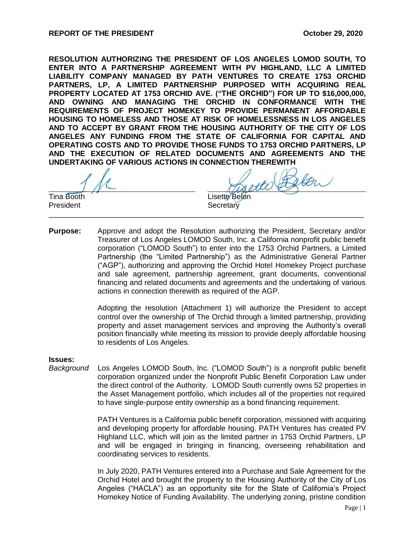**RESOLUTION AUTHORIZING THE PRESIDENT OF LOS ANGELES LOMOD SOUTH, TO ENTER INTO A PARTNERSHIP AGREEMENT WITH PV HIGHLAND, LLC A LIMITED LIABILITY COMPANY MANAGED BY PATH VENTURES TO CREATE 1753 ORCHID PARTNERS, LP, A LIMITED PARTNERSHIP PURPOSED WITH ACQUIRING REAL PROPERTY LOCATED AT 1753 ORCHID AVE. ("THE ORCHID") FOR UP TO \$16,000,000, AND OWNING AND MANAGING THE ORCHID IN CONFORMANCE WITH THE REQUIREMENTS OF PROJECT HOMEKEY TO PROVIDE PERMANENT AFFORDABLE HOUSING TO HOMELESS AND THOSE AT RISK OF HOMELESSNESS IN LOS ANGELES AND TO ACCEPT BY GRANT FROM THE HOUSING AUTHORITY OF THE CITY OF LOS ANGELES ANY FUNDING FROM THE STATE OF CALIFORNIA FOR CAPITAL AND OPERATING COSTS AND TO PROVIDE THOSE FUNDS TO 1753 ORCHID PARTNERS, LP AND THE EXECUTION OF RELATED DOCUMENTS AND AGREEMENTS AND THE UNDERTAKING OF VARIOUS ACTIONS IN CONNECTION THEREWITH**

President **Secretary** 

Tina Booth Lisette Belon

**Purpose:** Approve and adopt the Resolution authorizing the President, Secretary and/or Treasurer of Los Angeles LOMOD South, Inc. a California nonprofit public benefit corporation ("LOMOD South") to enter into the 1753 Orchid Partners, a Limited Partnership (the "Limited Partnership") as the Administrative General Partner ("AGP"), authorizing and approving the Orchid Hotel Homekey Project purchase and sale agreement, partnership agreement, grant documents, conventional financing and related documents and agreements and the undertaking of various actions in connection therewith as required of the AGP.

\_\_\_\_\_\_\_\_\_\_\_\_\_\_\_\_\_\_\_\_\_\_\_\_\_\_\_\_\_\_\_\_\_\_\_\_\_\_\_\_\_\_\_\_\_\_\_\_\_\_\_\_\_\_\_\_\_\_\_\_\_\_\_\_\_\_\_\_\_\_\_\_\_\_\_\_

Adopting the resolution (Attachment 1) will authorize the President to accept control over the ownership of The Orchid through a limited partnership, providing property and asset management services and improving the Authority's overall position financially while meeting its mission to provide deeply affordable housing to residents of Los Angeles.

#### **Issues:**

*Background* Los Angeles LOMOD South, Inc. ("LOMOD South") is a nonprofit public benefit corporation organized under the Nonprofit Public Benefit Corporation Law under the direct control of the Authority. LOMOD South currently owns 52 properties in the Asset Management portfolio, which includes all of the properties not required to have single-purpose entity ownership as a bond financing requirement.

> PATH Ventures is a California public benefit corporation, missioned with acquiring and developing property for affordable housing. PATH Ventures has created PV Highland LLC, which will join as the limited partner in 1753 Orchid Partners, LP and will be engaged in bringing in financing, overseeing rehabilitation and coordinating services to residents.

> In July 2020, PATH Ventures entered into a Purchase and Sale Agreement for the Orchid Hotel and brought the property to the Housing Authority of the City of Los Angeles ("HACLA") as an opportunity site for the State of California's Project Homekey Notice of Funding Availability. The underlying zoning, pristine condition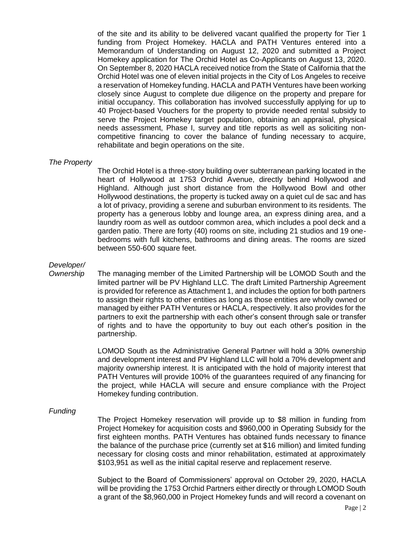of the site and its ability to be delivered vacant qualified the property for Tier 1 funding from Project Homekey. HACLA and PATH Ventures entered into a Memorandum of Understanding on August 12, 2020 and submitted a Project Homekey application for The Orchid Hotel as Co-Applicants on August 13, 2020. On September 8, 2020 HACLA received notice from the State of California that the Orchid Hotel was one of eleven initial projects in the City of Los Angeles to receive a reservation of Homekey funding. HACLA and PATH Ventures have been working closely since August to complete due diligence on the property and prepare for initial occupancy. This collaboration has involved successfully applying for up to 40 Project-based Vouchers for the property to provide needed rental subsidy to serve the Project Homekey target population, obtaining an appraisal, physical needs assessment, Phase I, survey and title reports as well as soliciting noncompetitive financing to cover the balance of funding necessary to acquire, rehabilitate and begin operations on the site.

#### *The Property*

The Orchid Hotel is a three-story building over subterranean parking located in the heart of Hollywood at 1753 Orchid Avenue, directly behind Hollywood and Highland. Although just short distance from the Hollywood Bowl and other Hollywood destinations, the property is tucked away on a quiet cul de sac and has a lot of privacy, providing a serene and suburban environment to its residents. The property has a generous lobby and lounge area, an express dining area, and a laundry room as well as outdoor common area, which includes a pool deck and a garden patio. There are forty (40) rooms on site, including 21 studios and 19 onebedrooms with full kitchens, bathrooms and dining areas. The rooms are sized between 550-600 square feet.

# *Developer/*

*Ownership* The managing member of the Limited Partnership will be LOMOD South and the limited partner will be PV Highland LLC. The draft Limited Partnership Agreement is provided for reference as Attachment 1, and includes the option for both partners to assign their rights to other entities as long as those entities are wholly owned or managed by either PATH Ventures or HACLA, respectively. It also provides for the partners to exit the partnership with each other's consent through sale or transfer of rights and to have the opportunity to buy out each other's position in the partnership.

> LOMOD South as the Administrative General Partner will hold a 30% ownership and development interest and PV Highland LLC will hold a 70% development and majority ownership interest. It is anticipated with the hold of majority interest that PATH Ventures will provide 100% of the guarantees required of any financing for the project, while HACLA will secure and ensure compliance with the Project Homekey funding contribution.

## *Funding*

The Project Homekey reservation will provide up to \$8 million in funding from Project Homekey for acquisition costs and \$960,000 in Operating Subsidy for the first eighteen months. PATH Ventures has obtained funds necessary to finance the balance of the purchase price (currently set at \$16 million) and limited funding necessary for closing costs and minor rehabilitation, estimated at approximately \$103,951 as well as the initial capital reserve and replacement reserve.

Subject to the Board of Commissioners' approval on October 29, 2020, HACLA will be providing the 1753 Orchid Partners either directly or through LOMOD South a grant of the \$8,960,000 in Project Homekey funds and will record a covenant on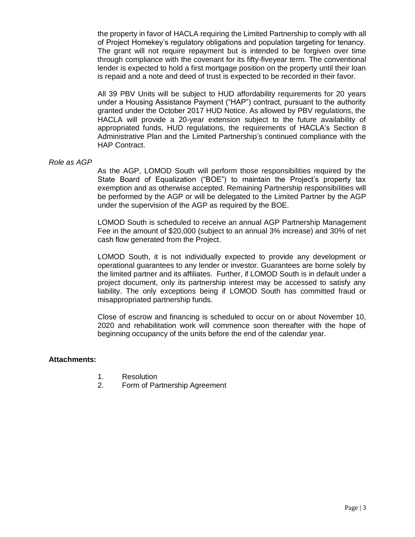the property in favor of HACLA requiring the Limited Partnership to comply with all of Project Homekey's regulatory obligations and population targeting for tenancy. The grant will not require repayment but is intended to be forgiven over time through compliance with the covenant for its fifty-fiveyear term. The conventional lender is expected to hold a first mortgage position on the property until their loan is repaid and a note and deed of trust is expected to be recorded in their favor.

All 39 PBV Units will be subject to HUD affordability requirements for 20 years under a Housing Assistance Payment ("HAP") contract, pursuant to the authority granted under the October 2017 HUD Notice. As allowed by PBV regulations, the HACLA will provide a 20-year extension subject to the future availability of appropriated funds, HUD regulations, the requirements of HACLA's Section 8 Administrative Plan and the Limited Partnership's continued compliance with the HAP Contract.

### *Role as AGP*

As the AGP, LOMOD South will perform those responsibilities required by the State Board of Equalization ("BOE") to maintain the Project's property tax exemption and as otherwise accepted. Remaining Partnership responsibilities will be performed by the AGP or will be delegated to the Limited Partner by the AGP under the supervision of the AGP as required by the BOE.

LOMOD South is scheduled to receive an annual AGP Partnership Management Fee in the amount of \$20,000 (subject to an annual 3% increase) and 30% of net cash flow generated from the Project.

LOMOD South, it is not individually expected to provide any development or operational guarantees to any lender or investor. Guarantees are borne solely by the limited partner and its affiliates. Further, if LOMOD South is in default under a project document, only its partnership interest may be accessed to satisfy any liability. The only exceptions being if LOMOD South has committed fraud or misappropriated partnership funds.

Close of escrow and financing is scheduled to occur on or about November 10, 2020 and rehabilitation work will commence soon thereafter with the hope of beginning occupancy of the units before the end of the calendar year.

### **Attachments:**

- 1. Resolution
- 2. Form of Partnership Agreement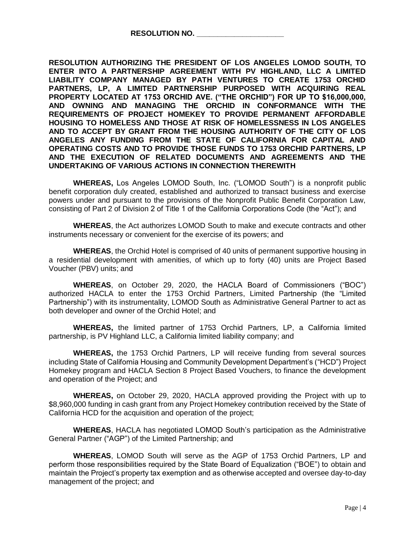**RESOLUTION AUTHORIZING THE PRESIDENT OF LOS ANGELES LOMOD SOUTH, TO ENTER INTO A PARTNERSHIP AGREEMENT WITH PV HIGHLAND, LLC A LIMITED LIABILITY COMPANY MANAGED BY PATH VENTURES TO CREATE 1753 ORCHID PARTNERS, LP, A LIMITED PARTNERSHIP PURPOSED WITH ACQUIRING REAL PROPERTY LOCATED AT 1753 ORCHID AVE. ("THE ORCHID") FOR UP TO \$16,000,000, AND OWNING AND MANAGING THE ORCHID IN CONFORMANCE WITH THE REQUIREMENTS OF PROJECT HOMEKEY TO PROVIDE PERMANENT AFFORDABLE HOUSING TO HOMELESS AND THOSE AT RISK OF HOMELESSNESS IN LOS ANGELES AND TO ACCEPT BY GRANT FROM THE HOUSING AUTHORITY OF THE CITY OF LOS ANGELES ANY FUNDING FROM THE STATE OF CALIFORNIA FOR CAPITAL AND OPERATING COSTS AND TO PROVIDE THOSE FUNDS TO 1753 ORCHID PARTNERS, LP AND THE EXECUTION OF RELATED DOCUMENTS AND AGREEMENTS AND THE UNDERTAKING OF VARIOUS ACTIONS IN CONNECTION THEREWITH**

**WHEREAS,** Los Angeles LOMOD South, Inc. ("LOMOD South") is a nonprofit public benefit corporation duly created, established and authorized to transact business and exercise powers under and pursuant to the provisions of the Nonprofit Public Benefit Corporation Law, consisting of Part 2 of Division 2 of Title 1 of the California Corporations Code (the "Act"); and

**WHEREAS**, the Act authorizes LOMOD South to make and execute contracts and other instruments necessary or convenient for the exercise of its powers; and

**WHEREAS**, the Orchid Hotel is comprised of 40 units of permanent supportive housing in a residential development with amenities, of which up to forty (40) units are Project Based Voucher (PBV) units; and

**WHEREAS**, on October 29, 2020, the HACLA Board of Commissioners ("BOC") authorized HACLA to enter the 1753 Orchid Partners, Limited Partnership (the "Limited Partnership") with its instrumentality, LOMOD South as Administrative General Partner to act as both developer and owner of the Orchid Hotel; and

**WHEREAS,** the limited partner of 1753 Orchid Partners, LP, a California limited partnership, is PV Highland LLC, a California limited liability company; and

**WHEREAS,** the 1753 Orchid Partners, LP will receive funding from several sources including State of California Housing and Community Development Department's ("HCD") Project Homekey program and HACLA Section 8 Project Based Vouchers, to finance the development and operation of the Project; and

**WHEREAS,** on October 29, 2020, HACLA approved providing the Project with up to \$8,960,000 funding in cash grant from any Project Homekey contribution received by the State of California HCD for the acquisition and operation of the project;

**WHEREAS**, HACLA has negotiated LOMOD South's participation as the Administrative General Partner ("AGP") of the Limited Partnership; and

**WHEREAS**, LOMOD South will serve as the AGP of 1753 Orchid Partners, LP and perform those responsibilities required by the State Board of Equalization ("BOE") to obtain and maintain the Project's property tax exemption and as otherwise accepted and oversee day-to-day management of the project; and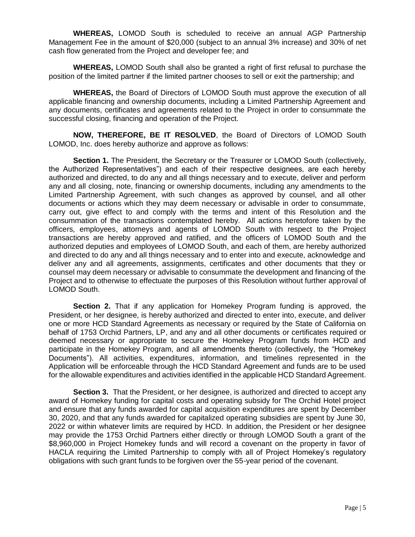**WHEREAS,** LOMOD South is scheduled to receive an annual AGP Partnership Management Fee in the amount of \$20,000 (subject to an annual 3% increase) and 30% of net cash flow generated from the Project and developer fee; and

**WHEREAS,** LOMOD South shall also be granted a right of first refusal to purchase the position of the limited partner if the limited partner chooses to sell or exit the partnership; and

**WHEREAS,** the Board of Directors of LOMOD South must approve the execution of all applicable financing and ownership documents, including a Limited Partnership Agreement and any documents, certificates and agreements related to the Project in order to consummate the successful closing, financing and operation of the Project.

**NOW, THEREFORE, BE IT RESOLVED**, the Board of Directors of LOMOD South LOMOD, Inc. does hereby authorize and approve as follows:

Section 1. The President, the Secretary or the Treasurer or LOMOD South (collectively, the Authorized Representatives") and each of their respective designees, are each hereby authorized and directed, to do any and all things necessary and to execute, deliver and perform any and all closing, note, financing or ownership documents, including any amendments to the Limited Partnership Agreement, with such changes as approved by counsel, and all other documents or actions which they may deem necessary or advisable in order to consummate, carry out, give effect to and comply with the terms and intent of this Resolution and the consummation of the transactions contemplated hereby. All actions heretofore taken by the officers, employees, attorneys and agents of LOMOD South with respect to the Project transactions are hereby approved and ratified, and the officers of LOMOD South and the authorized deputies and employees of LOMOD South, and each of them, are hereby authorized and directed to do any and all things necessary and to enter into and execute, acknowledge and deliver any and all agreements, assignments, certificates and other documents that they or counsel may deem necessary or advisable to consummate the development and financing of the Project and to otherwise to effectuate the purposes of this Resolution without further approval of LOMOD South.

**Section 2.** That if any application for Homekey Program funding is approved, the President, or her designee, is hereby authorized and directed to enter into, execute, and deliver one or more HCD Standard Agreements as necessary or required by the State of California on behalf of 1753 Orchid Partners, LP, and any and all other documents or certificates required or deemed necessary or appropriate to secure the Homekey Program funds from HCD and participate in the Homekey Program, and all amendments thereto (collectively, the "Homekey Documents"). All activities, expenditures, information, and timelines represented in the Application will be enforceable through the HCD Standard Agreement and funds are to be used for the allowable expenditures and activities identified in the applicable HCD Standard Agreement.

**Section 3.** That the President, or her designee, is authorized and directed to accept any award of Homekey funding for capital costs and operating subsidy for The Orchid Hotel project and ensure that any funds awarded for capital acquisition expenditures are spent by December 30, 2020, and that any funds awarded for capitalized operating subsidies are spent by June 30, 2022 or within whatever limits are required by HCD. In addition, the President or her designee may provide the 1753 Orchid Partners either directly or through LOMOD South a grant of the \$8,960,000 in Project Homekey funds and will record a covenant on the property in favor of HACLA requiring the Limited Partnership to comply with all of Project Homekey's regulatory obligations with such grant funds to be forgiven over the 55-year period of the covenant.